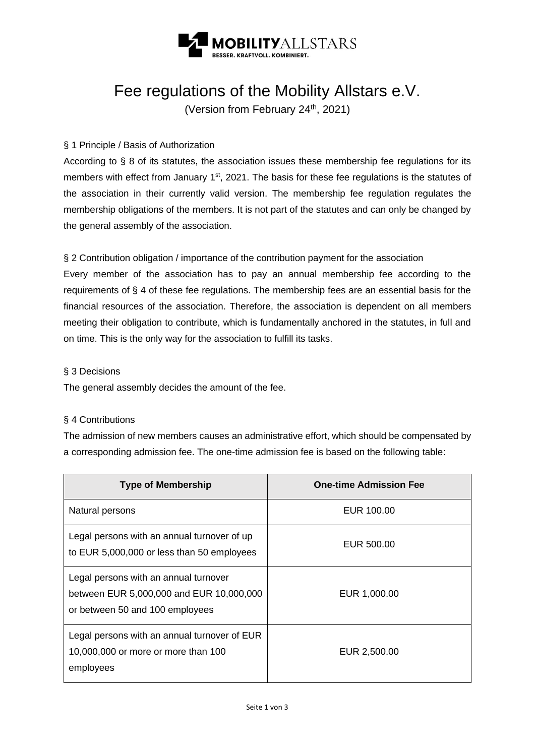

# Fee regulations of the Mobility Allstars e.V.

(Version from February 24<sup>th</sup>, 2021)

## § 1 Principle / Basis of Authorization

According to § 8 of its statutes, the association issues these membership fee regulations for its members with effect from January 1<sup>st</sup>, 2021. The basis for these fee regulations is the statutes of the association in their currently valid version. The membership fee regulation regulates the membership obligations of the members. It is not part of the statutes and can only be changed by the general assembly of the association.

§ 2 Contribution obligation / importance of the contribution payment for the association

Every member of the association has to pay an annual membership fee according to the requirements of § 4 of these fee regulations. The membership fees are an essential basis for the financial resources of the association. Therefore, the association is dependent on all members meeting their obligation to contribute, which is fundamentally anchored in the statutes, in full and on time. This is the only way for the association to fulfill its tasks.

#### § 3 Decisions

The general assembly decides the amount of the fee.

### § 4 Contributions

The admission of new members causes an administrative effort, which should be compensated by a corresponding admission fee. The one-time admission fee is based on the following table:

| <b>Type of Membership</b>                                                                                            | <b>One-time Admission Fee</b> |
|----------------------------------------------------------------------------------------------------------------------|-------------------------------|
| Natural persons                                                                                                      | EUR 100.00                    |
| Legal persons with an annual turnover of up<br>to EUR 5,000,000 or less than 50 employees                            | EUR 500.00                    |
| Legal persons with an annual turnover<br>between EUR 5,000,000 and EUR 10,000,000<br>or between 50 and 100 employees | EUR 1,000.00                  |
| Legal persons with an annual turnover of EUR<br>10,000,000 or more or more than 100<br>employees                     | EUR 2,500.00                  |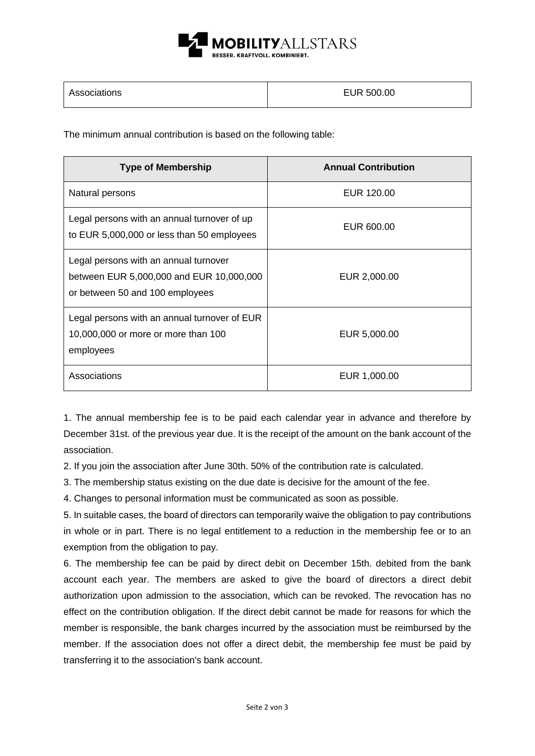

| Associations | EUR 500.00 |
|--------------|------------|
|--------------|------------|

The minimum annual contribution is based on the following table:

| <b>Type of Membership</b>                                                                                            | <b>Annual Contribution</b> |
|----------------------------------------------------------------------------------------------------------------------|----------------------------|
| Natural persons                                                                                                      | EUR 120.00                 |
| Legal persons with an annual turnover of up<br>to EUR 5,000,000 or less than 50 employees                            | EUR 600.00                 |
| Legal persons with an annual turnover<br>between EUR 5,000,000 and EUR 10,000,000<br>or between 50 and 100 employees | EUR 2,000.00               |
| Legal persons with an annual turnover of EUR<br>10,000,000 or more or more than 100<br>employees                     | EUR 5,000.00               |
| Associations                                                                                                         | EUR 1,000.00               |

1. The annual membership fee is to be paid each calendar year in advance and therefore by December 31st. of the previous year due. It is the receipt of the amount on the bank account of the association.

2. If you join the association after June 30th. 50% of the contribution rate is calculated.

3. The membership status existing on the due date is decisive for the amount of the fee.

4. Changes to personal information must be communicated as soon as possible.

5. In suitable cases, the board of directors can temporarily waive the obligation to pay contributions in whole or in part. There is no legal entitlement to a reduction in the membership fee or to an exemption from the obligation to pay.

6. The membership fee can be paid by direct debit on December 15th. debited from the bank account each year. The members are asked to give the board of directors a direct debit authorization upon admission to the association, which can be revoked. The revocation has no effect on the contribution obligation. If the direct debit cannot be made for reasons for which the member is responsible, the bank charges incurred by the association must be reimbursed by the member. If the association does not offer a direct debit, the membership fee must be paid by transferring it to the association's bank account.